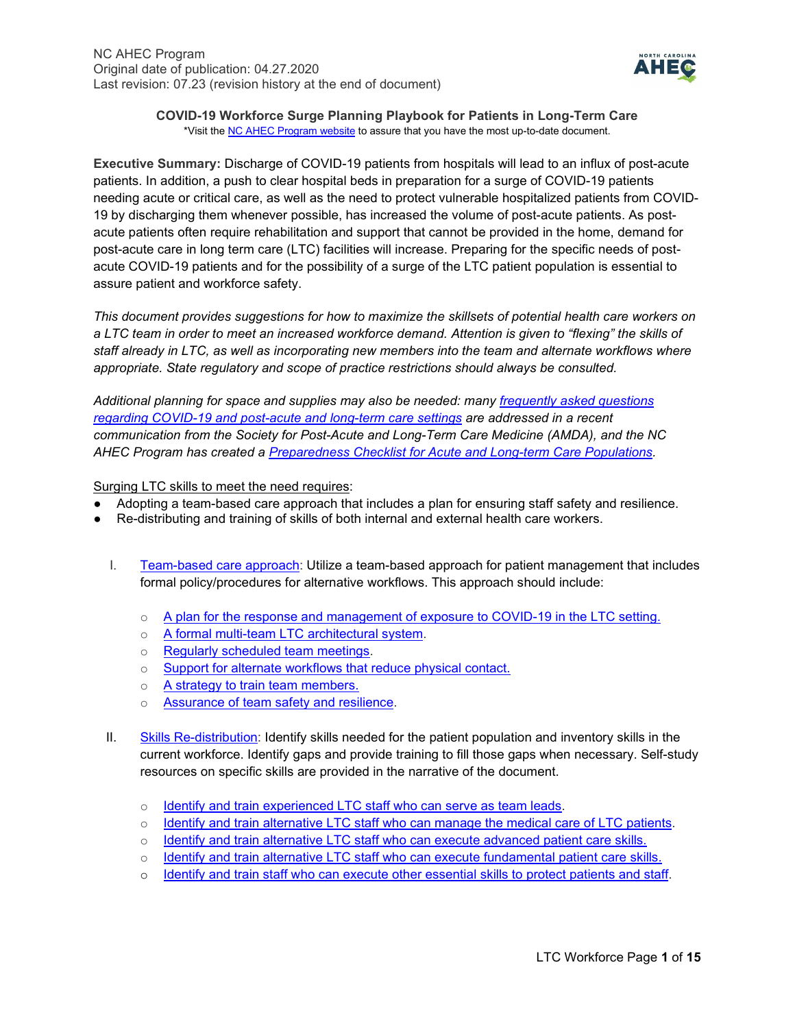

**COVID-19 Workforce Surge Planning Playbook for Patients in Long-Term Care** \*Visit th[e NC AHEC Program website](https://www.ncahec.net/covid-19/training-and-literature-for-health-care-professionals/workforce-surge-planning-playbooks/) to assure that you have the most up-to-date document.

**Executive Summary:** Discharge of COVID-19 patients from hospitals will lead to an influx of post-acute patients. In addition, a push to clear hospital beds in preparation for a surge of COVID-19 patients needing acute or critical care, as well as the need to protect vulnerable hospitalized patients from COVID-19 by discharging them whenever possible, has increased the volume of post-acute patients. As postacute patients often require rehabilitation and support that cannot be provided in the home, demand for post-acute care in long term care (LTC) facilities will increase. Preparing for the specific needs of postacute COVID-19 patients and for the possibility of a surge of the LTC patient population is essential to assure patient and workforce safety.

*This document provides suggestions for how to maximize the skillsets of potential health care workers on a LTC team in order to meet an increased workforce demand. Attention is given to "flexing" the skills of staff already in LTC, as well as incorporating new members into the team and alternate workflows where appropriate. State regulatory and scope of practice restrictions should always be consulted.*

*Additional planning for space and supplies may also be needed: many [frequently asked questions](http://paltc.org/sites/default/files/COVID%2019%20QA%20Community%20Spread%20March%2031%20with%20hylerlinks%20and%20Rx%20Final.pdf) regarding COVID-19 [and post-acute and long-term care settings](http://paltc.org/sites/default/files/COVID%2019%20QA%20Community%20Spread%20March%2031%20with%20hylerlinks%20and%20Rx%20Final.pdf) are addressed in a recent communication from the Society for Post-Acute and Long-Term Care Medicine (AMDA), and the NC AHEC Program has created a [Preparedness Checklist for Acute and Long-term Care Populations.](https://www.ncahec.net/covid-19/training-and-literature-for-health-care-professionals/workforce-surge-planning-playbooks/)*

Surging LTC skills to meet the need requires:

- Adopting a team-based care approach that includes a plan for ensuring staff safety and resilience.
- Re-distributing and training of skills of both internal and external health care workers.
	- I. [Team-based care approach:](#page-1-0) Utilize a team-based approach for patient management that includes formal policy/procedures for alternative workflows. This approach should include:
		- $\circ$  [A plan for the response and management of exposure to COVID-19 in the LTC setting.](#page-1-1)
		- o [A formal multi-team LTC architectural system.](#page-1-2)
		- o [Regularly scheduled team meetings.](#page-2-0)
		- o [Support for alternate workflows that reduce physical contact.](#page-2-1)
		- o [A strategy to train team members.](#page-4-0)
		- o [Assurance of team safety and resilience.](#page-4-0)
	- II. [Skills Re-distribution:](#page-6-0) Identify skills needed for the patient population and inventory skills in the current workforce. Identify gaps and provide training to fill those gaps when necessary. Self-study resources on specific skills are provided in the narrative of the document.
		- o [Identify and train experienced LTC staff who can serve as team leads.](#page-6-1)
		- o [Identify and train alternative LTC staff who can manage the medical care of LTC patients.](#page-7-0)
		- $\circ$  [Identify and train alternative LTC staff who can execute advanced patient care skills.](#page-8-0)
		- o [Identify and train alternative LTC staff who can execute fundamental patient care skills.](#page-11-0)
		- o [Identify and train staff who can execute other essential skills to protect patients and staff.](#page-12-0)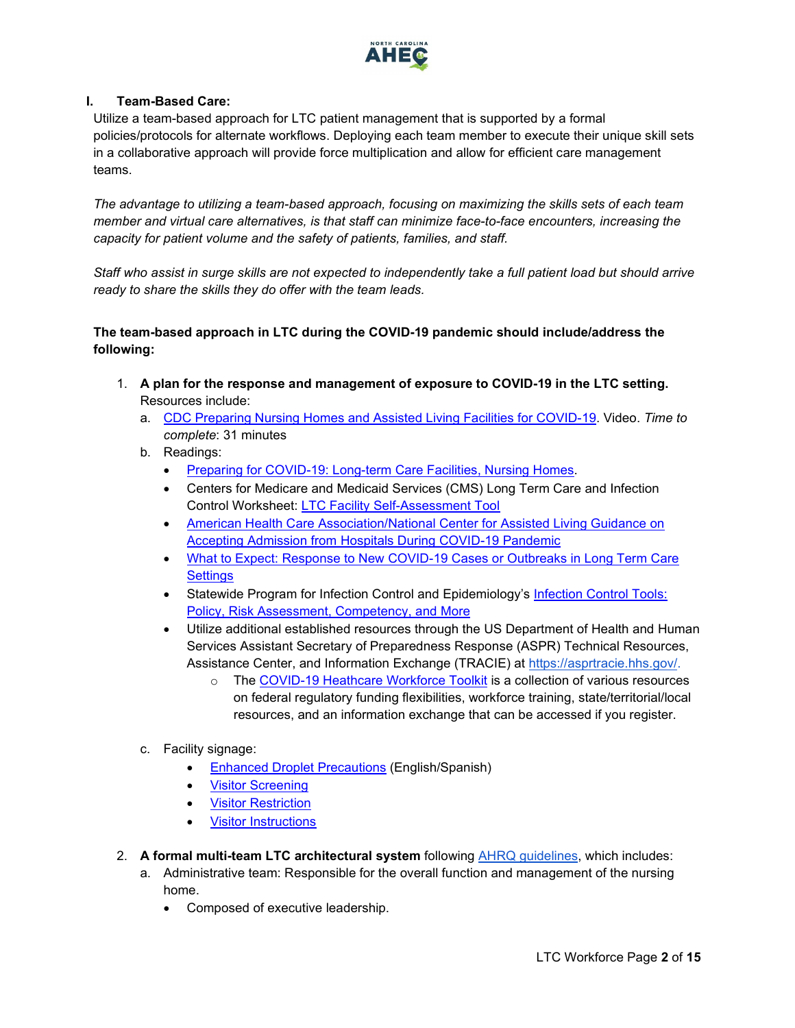

# <span id="page-1-0"></span>**I. Team-Based Care:**

Utilize a team-based approach for LTC patient management that is supported by a formal policies/protocols for alternate workflows. Deploying each team member to execute their unique skill sets in a collaborative approach will provide force multiplication and allow for efficient care management teams.

*The advantage to utilizing a team-based approach, focusing on maximizing the skills sets of each team member and virtual care alternatives, is that staff can minimize face-to-face encounters, increasing the capacity for patient volume and the safety of patients, families, and staff.*

*Staff who assist in surge skills are not expected to independently take a full patient load but should arrive ready to share the skills they do offer with the team leads.*

# **The team-based approach in LTC during the COVID-19 pandemic should include/address the following:**

- <span id="page-1-1"></span>1. **A plan for the response and management of exposure to COVID-19 in the LTC setting.** Resources include:
	- a. [CDC Preparing Nursing Homes and Assisted Living Facilities for COVID-19.](https://www.cdc.gov/video/covid19/downloadable-videos/Preparing-Nursing-Homes_Final-3-23.mp4) Video. *Time to complete*: 31 minutes
	- b. Readings:
		- [Preparing for COVID-19: Long-term Care Facilities, Nursing Homes.](https://www.cdc.gov/coronavirus/2019-ncov/hcp/long-term-care.html)
		- Centers for Medicare and Medicaid Services (CMS) Long Term Care and Infection Control Worksheet: [LTC Facility Self-Assessment Tool](https://qsep.cms.gov/data/252/A._NursingHome_InfectionControl_Worksheet11-8-19508.pdf)
		- American Health Care Association/National Center for Assisted Living Guidance on [Accepting Admission from Hospitals During COVID-19 Pandemic](https://www.ahcancal.org/facility_operations/disaster_planning/Documents/SNF-Admit-Transfer-COVID19.pdf)
		- [What to Expect: Response to New COVID-19 Cases or Outbreaks in Long Term Care](https://files.nc.gov/ncdhhs/documents/files/covid-19/What_To_Expect_Response_to_COVID19_Cases_Long_Term_Care.pdf)  **[Settings](https://files.nc.gov/ncdhhs/documents/files/covid-19/What_To_Expect_Response_to_COVID19_Cases_Long_Term_Care.pdf)**
		- Statewide Program for Infection Control and Epidemiology's [Infection Control Tools:](https://spice.unc.edu/icar-tools-for-success/)  [Policy, Risk Assessment, Competency, and More](https://spice.unc.edu/icar-tools-for-success/)
		- Utilize additional established resources through the US Department of Health and Human Services Assistant Secretary of Preparedness Response (ASPR) Technical Resources, Assistance Center, and Information Exchange (TRACIE) at [https://asprtracie.hhs.gov/.](https://asprtracie.hhs.gov/)
			- o The [COVID-19 Heathcare Workforce Toolkit](https://asprtracie.hhs.gov/Workforce-Virtual-Toolkit) is a collection of various resources on federal regulatory funding flexibilities, workforce training, state/territorial/local resources, and an information exchange that can be accessed if you register.
	- c. Facility signage:
		- [Enhanced Droplet Precautions](http://spice.unc.edu/wp-content/uploads/2020/03/Enhanced-Droplet-Contact-Precautions-Long-Term-Care-Facilities-with-Spanish.pdf) (English/Spanish)
		- [Visitor Screening](http://spice.unc.edu/wp-content/uploads/2020/03/Visitor-screen.pdf)
		- [Visitor Restriction](http://spice.unc.edu/wp-content/uploads/2020/03/Visitor-Restriction-LTCF.pdf)
		- [Visitor Instructions](http://spice.unc.edu/wp-content/uploads/2020/03/Visitor-Instructions.pdf)
- <span id="page-1-2"></span>2. **A formal multi-team LTC architectural system** following [AHRQ guidelines,](https://www.ahrq.gov/sites/default/files/wysiwyg/professionals/education/curriculum-tools/teamstepps/longtermcare/module2/igltcteamstruct.pdf) which includes:
	- a. Administrative team: Responsible for the overall function and management of the nursing home.
		- Composed of executive leadership.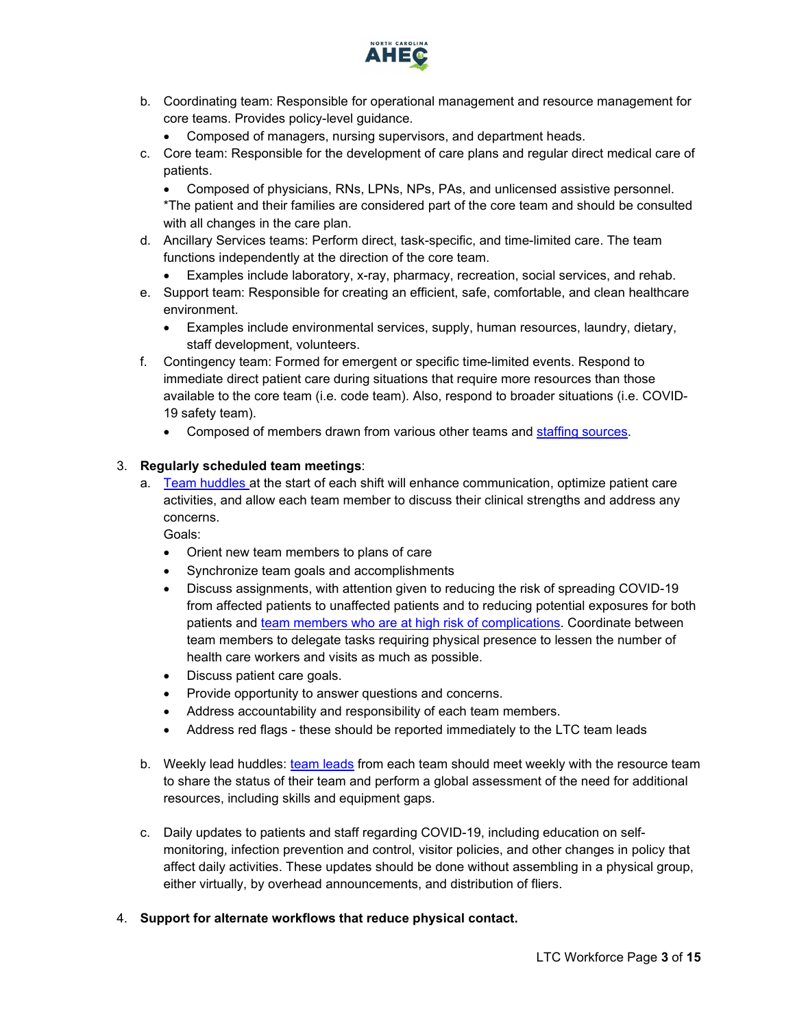

- b. Coordinating team: Responsible for operational management and resource management for core teams. Provides policy-level guidance.
	- Composed of managers, nursing supervisors, and department heads.
- c. Core team: Responsible for the development of care plans and regular direct medical care of patients.

• Composed of physicians, RNs, LPNs, NPs, PAs, and unlicensed assistive personnel. \*The patient and their families are considered part of the core team and should be consulted with all changes in the care plan.

- d. Ancillary Services teams: Perform direct, task-specific, and time-limited care. The team functions independently at the direction of the core team.
	- Examples include laboratory, x-ray, pharmacy, recreation, social services, and rehab.
- e. Support team: Responsible for creating an efficient, safe, comfortable, and clean healthcare environment.
	- Examples include environmental services, supply, human resources, laundry, dietary, staff development, volunteers.
- f. Contingency team: Formed for emergent or specific time-limited events. Respond to immediate direct patient care during situations that require more resources than those available to the core team (i.e. code team). Also, respond to broader situations (i.e. COVID-19 safety team).
	- Composed of members drawn from various other teams and [staffing sources.](#page-6-0)

### <span id="page-2-0"></span>3. **Regularly scheduled team meetings**:

a. [Team huddles a](https://nexusipe.org/informing/resource-center/huddle-coaching)t the start of each shift will enhance communication, optimize patient care activities, and allow each team member to discuss their clinical strengths and address any concerns.

Goals:

- Orient new team members to plans of care
- Synchronize team goals and accomplishments
- Discuss assignments, with attention given to reducing the risk of spreading COVID-19 from affected patients to unaffected patients and to reducing potential exposures for both patients and [team members who are at high risk of complications.](https://www.cdc.gov/coronavirus/2019-ncov/need-extra-precautions/people-at-higher-risk.html) Coordinate between team members to delegate tasks requiring physical presence to lessen the number of health care workers and visits as much as possible.
- Discuss patient care goals.
- Provide opportunity to answer questions and concerns.
- Address accountability and responsibility of each team members.
- Address red flags these should be reported immediately to the LTC team leads
- b. Weekly lead huddles: [team leads](https://nexusipe.org/informing/resource-center/huddle-coaching) from each team should meet weekly with the resource team to share the status of their team and perform a global assessment of the need for additional resources, including skills and equipment gaps.
- c. Daily updates to patients and staff regarding COVID-19, including education on selfmonitoring, infection prevention and control, visitor policies, and other changes in policy that affect daily activities. These updates should be done without assembling in a physical group, either virtually, by overhead announcements, and distribution of fliers.
- <span id="page-2-1"></span>4. **Support for alternate workflows that reduce physical contact.**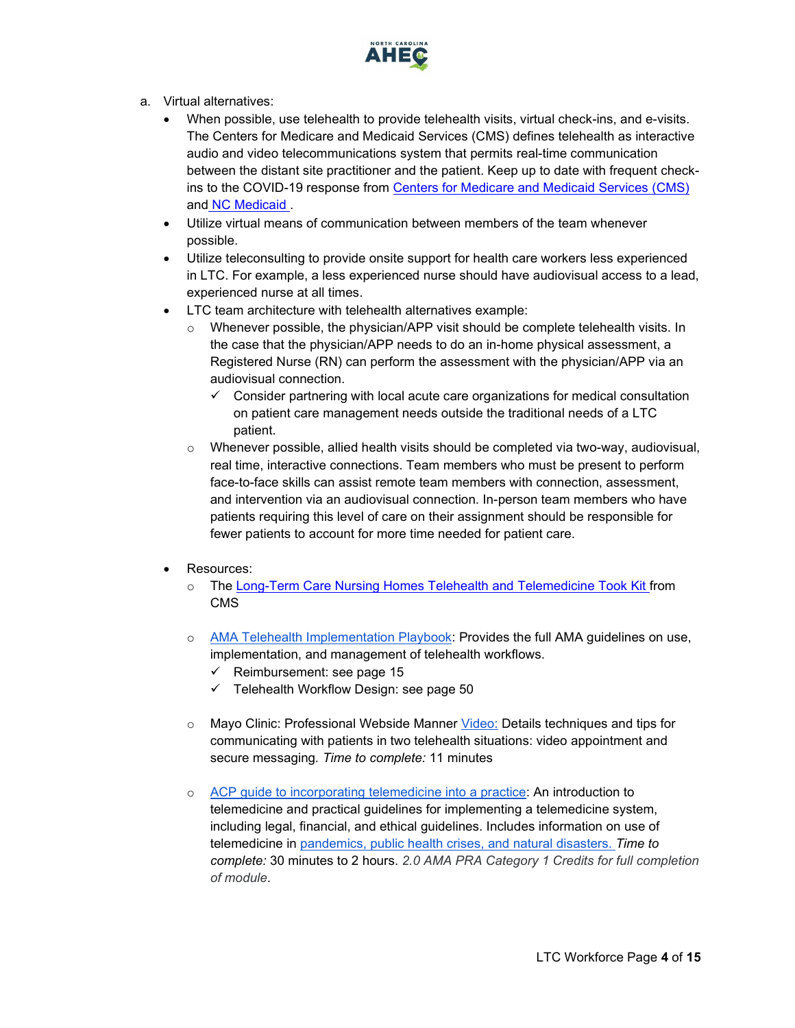

- a. Virtual alternatives:
	- When possible, use telehealth to provide telehealth visits, virtual check-ins, and e-visits. The Centers for Medicare and Medicaid Services (CMS) defines telehealth as interactive audio and video telecommunications system that permits real-time communication between the distant site practitioner and the patient. Keep up to date with frequent checkins to the COVID-19 response from [Centers for Medicare and Medicaid Services \(CMS\)](https://www.cms.gov/About-CMS/Agency-Information/Emergency/EPRO/Current-Emergencies/Current-Emergencies-page) and [NC Medicaid .](https://medicaid.ncdhhs.gov/about-us/covid-19-guidance-and-resources/providers/covid-19-special-medicaid-bulletins)
	- Utilize virtual means of communication between members of the team whenever possible.
	- Utilize teleconsulting to provide onsite support for health care workers less experienced in LTC. For example, a less experienced nurse should have audiovisual access to a lead, experienced nurse at all times.
	- LTC team architecture with telehealth alternatives example:
		- $\circ$  Whenever possible, the physician/APP visit should be complete telehealth visits. In the case that the physician/APP needs to do an in-home physical assessment, a Registered Nurse (RN) can perform the assessment with the physician/APP via an audiovisual connection.
			- $\checkmark$  Consider partnering with local acute care organizations for medical consultation on patient care management needs outside the traditional needs of a LTC patient.
		- $\circ$  Whenever possible, allied health visits should be completed via two-way, audiovisual, real time, interactive connections. Team members who must be present to perform face-to-face skills can assist remote team members with connection, assessment, and intervention via an audiovisual connection. In-person team members who have patients requiring this level of care on their assignment should be responsible for fewer patients to account for more time needed for patient care.
	- Resources:
		- o The [Long-Term Care Nursing Homes Telehealth and Telemedicine Took Kit f](https://www.cms.gov/files/document/covid-19-nursing-home-telehealth-toolkit.pdf)rom CMS
		- o [AMA Telehealth Implementation Playbook:](https://www.ama-assn.org/system/files/2020-04/ama-telehealth-playbook.pdf?utm_source=Selligent&utm_medium=email&utm_term=%25m%25d%25y&utm_content=OTHER_PE_COVID19_MEM_040920&utm_campaign=PROMO_PPOS_Lifestyle_Unengaged_030820&utm_uid=12944228&utm_effort=&utm_h) Provides the full AMA guidelines on use, implementation, and management of telehealth workflows.
			- $\checkmark$  Reimbursement: see page 15
			- $\checkmark$  Telehealth Workflow Design: see page 50
		- o Mayo Clinic: Professional Webside Manner [Video:](https://www.youtube.com/watch?v=Gx2jrT7pm4U) Details techniques and tips for communicating with patients in two telehealth situations: video appointment and secure messaging*. Time to complete:* 11 minutes
		- o [ACP guide to incorporating telemedicine into a practice:](https://assets.acponline.org/telemedicine/scormcontent/?&_ga=2.77804497.471511880.1585395081-831279411.1585395081#/) An introduction to telemedicine and practical guidelines for implementing a telemedicine system, including legal, financial, and ethical guidelines. Includes information on use of telemedicine in [pandemics, public health crises, and natural disasters.](https://assets.acponline.org/telemedicine/scormcontent/?&_ga=2.77804497.471511880.1585395081-831279411.1585395081#/lessons/AZVkZp6hXdtRT3kSz1C8W6gRxT_3nQtt) *Time to complete:* 30 minutes to 2 hours. *2.0 AMA PRA Category 1 Credits for full completion of module*.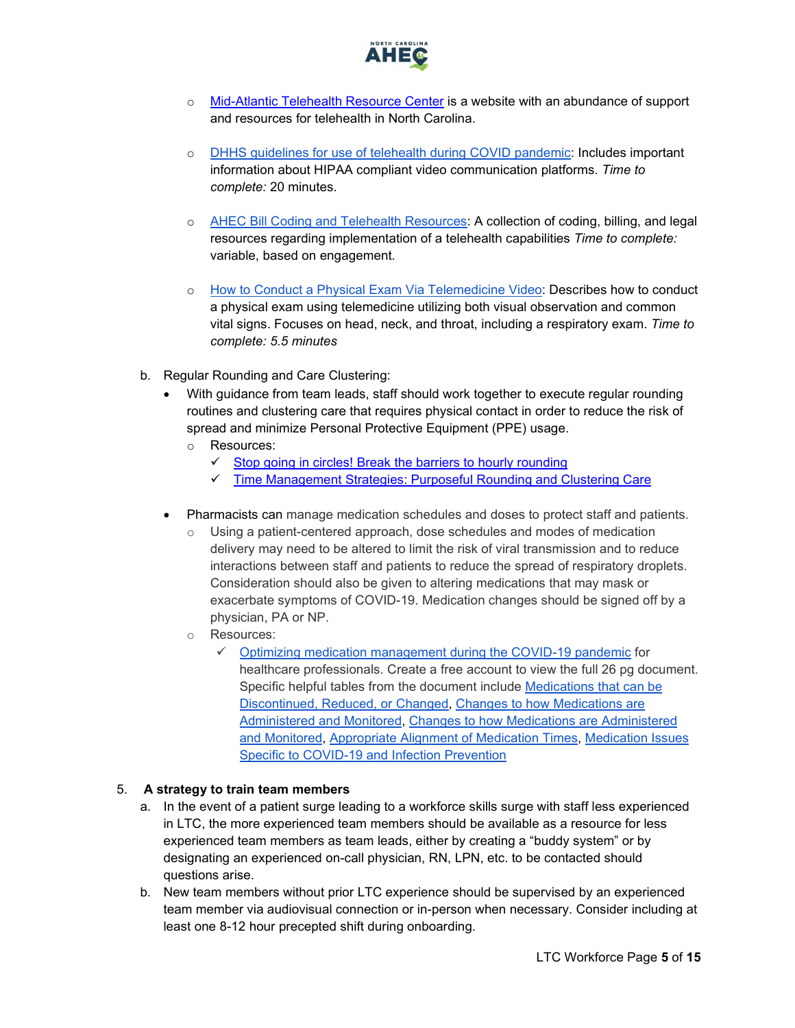

- o [Mid-Atlantic Telehealth Resource Center](https://www.matrc.org/) is a website with an abundance of support and resources for telehealth in North Carolina.
- o [DHHS guidelines for use of telehealth during COVID pandemic:](https://www.hhs.gov/hipaa/for-professionals/special-topics/emergency-preparedness/notification-enforcement-discretion-telehealth/index.html) Includes important information about HIPAA compliant video communication platforms. *Time to complete:* 20 minutes.
- o [AHEC Bill Coding and Telehealth Resources:](https://www.ncahec.net/?s=telehealth&submit=Submit) A collection of coding, billing, and legal resources regarding implementation of a telehealth capabilities *Time to complete:*  variable, based on engagement.
- o [How to Conduct a Physical Exam Via Telemedicine Video:](https://www.youtube.com/watch?v=4hRObfNyDvc) Describes how to conduct a physical exam using telemedicine utilizing both visual observation and common vital signs. Focuses on head, neck, and throat, including a respiratory exam. *Time to complete: 5.5 minutes*
- b. Regular Rounding and Care Clustering:
	- With guidance from team leads, staff should work together to execute regular rounding routines and clustering care that requires physical contact in order to reduce the risk of spread and minimize Personal Protective Equipment (PPE) usage.
		- o Resources:
			- $\checkmark$  [Stop going in circles! Break the barriers to hourly rounding](https://journals.lww.com/nursingmanagement/Pages/articleviewer.aspx?year=2013&issue=02000&article=00004&type=Fulltext)
			- [Time Management Strategies: Purposeful Rounding and Clustering Care](https://www.amsn.org/sites/default/files/private/medsurg-matters-newsletter-archives/janfeb17.pdf)
	- Pharmacists can manage medication schedules and doses to protect staff and patients.
		- $\circ$  Using a patient-centered approach, dose schedules and modes of medication delivery may need to be altered to limit the risk of viral transmission and to reduce interactions between staff and patients to reduce the spread of respiratory droplets. Consideration should also be given to altering medications that may mask or exacerbate symptoms of COVID-19. Medication changes should be signed off by a physician, PA or NP.
		- o Resources:
			- $\checkmark$  [Optimizing medication management during the COVID-19 pandemic](https://www.pharmacy.umaryland.edu/media/SOP/wwwpharmacyumarylandedu/centers/lamy/covid19-med-mgmt/complete-guide.pdf) for healthcare professionals. Create a free account to view the full 26 pg document. Specific helpful tables from the document include [Medications that can be](https://www.pharmacy.umaryland.edu/centers/lamy/optimizing-medication-management-during-covid19-pandemic/_recommendations/#table1)  [Discontinued, Reduced, or Changed,](https://www.pharmacy.umaryland.edu/centers/lamy/optimizing-medication-management-during-covid19-pandemic/_recommendations/#table1) [Changes to how Medications are](https://www.pharmacy.umaryland.edu/centers/lamy/optimizing-medication-management-during-covid19-pandemic/_recommendations/#table2)  [Administered and Monitored, Changes to how Medications are Administered](https://www.pharmacy.umaryland.edu/centers/lamy/optimizing-medication-management-during-covid19-pandemic/_recommendations/#table2)  [and Monitored,](https://www.pharmacy.umaryland.edu/centers/lamy/optimizing-medication-management-during-covid19-pandemic/_recommendations/#table2) [Appropriate Alignment of Medication Times,](https://www.pharmacy.umaryland.edu/centers/lamy/optimizing-medication-management-during-covid19-pandemic/_recommendations/#table3) [Medication Issues](https://www.pharmacy.umaryland.edu/centers/lamy/optimizing-medication-management-during-covid19-pandemic/_recommendations/#table4)  [Specific to COVID-19 and Infection Prevention](https://www.pharmacy.umaryland.edu/centers/lamy/optimizing-medication-management-during-covid19-pandemic/_recommendations/#table4)

### 5. **A strategy to train team members**

- <span id="page-4-0"></span>a. In the event of a patient surge leading to a workforce skills surge with staff less experienced in LTC, the more experienced team members should be available as a resource for less experienced team members as team leads, either by creating a "buddy system" or by designating an experienced on-call physician, RN, LPN, etc. to be contacted should questions arise.
- b. New team members without prior LTC experience should be supervised by an experienced team member via audiovisual connection or in-person when necessary. Consider including at least one 8-12 hour precepted shift during onboarding.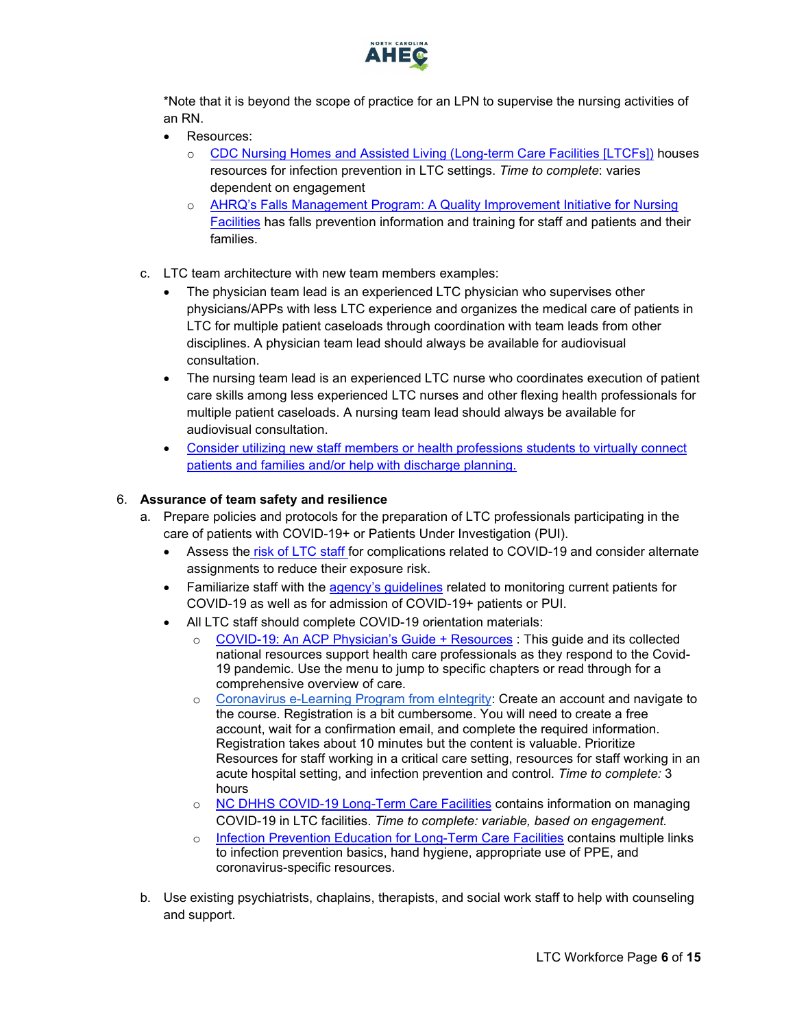

\*Note that it is beyond the scope of practice for an LPN to supervise the nursing activities of an RN.

- Resources:
	- o [CDC Nursing Homes and Assisted Living \(Long-term Care Facilities \[LTCFs\]\)](https://www.cdc.gov/longtermcare/index.html) houses resources for infection prevention in LTC settings. *Time to complete*: varies dependent on engagement
	- o [AHRQ's Falls Management Program: A Quality Improvement Initiative for Nursing](https://www.ahrq.gov/patient-safety/settings/long-term-care/resource/injuries/fallspx/man5.html)  [Facilities](https://www.ahrq.gov/patient-safety/settings/long-term-care/resource/injuries/fallspx/man5.html) has falls prevention information and training for staff and patients and their families.
- c. LTC team architecture with new team members examples:
	- The physician team lead is an experienced LTC physician who supervises other physicians/APPs with less LTC experience and organizes the medical care of patients in LTC for multiple patient caseloads through coordination with team leads from other disciplines. A physician team lead should always be available for audiovisual consultation.
	- The nursing team lead is an experienced LTC nurse who coordinates execution of patient care skills among less experienced LTC nurses and other flexing health professionals for multiple patient caseloads. A nursing team lead should always be available for audiovisual consultation.
	- [Consider utilizing new staff members or health professions students to virtually connect](#page-13-0)  patients and families [and/or help with discharge planning.](#page-13-0)

# 6. **Assurance of team safety and resilience**

- a. Prepare policies and protocols for the preparation of LTC professionals participating in the care of patients with COVID-19+ or Patients Under Investigation (PUI).
	- Assess the [risk of LTC](https://www.cdc.gov/coronavirus/2019-ncov/need-extra-precautions/people-at-higher-risk.html) staff for complications related to COVID-19 and consider alternate assignments to reduce their exposure risk.
	- Familiarize staff with the [agency's guidelines](#page-1-1) related to monitoring current patients for COVID-19 as well as for admission of COVID-19+ patients or PUI.
	- All LTC staff should complete COVID-19 orientation materials:
		- o [COVID-19: An ACP Physician's Guide + Resources](https://assets.acponline.org/coronavirus/scormcontent/?&_ga=2.5648691.1012314021.1585845467-1073402165.1585845467#/) : This guide and its collected national resources support health care professionals as they respond to the Covid-19 pandemic. Use the menu to jump to specific chapters or read through for a comprehensive overview of care.
		- o [Coronavirus e-Learning Program from eIntegrity:](https://www.eintegrity.org/e-learning-healthcare-course/coronavirus.html?utm_source=Twitter&utm_medium=social&utm_campaign=SocialSignIn) Create an account and navigate to the course. Registration is a bit cumbersome. You will need to create a free account, wait for a confirmation email, and complete the required information. Registration takes about 10 minutes but the content is valuable. Prioritize Resources for staff working in a critical care setting, resources for staff working in an acute hospital setting, and infection prevention and control. *Time to complete:* 3 hours
		- o [NC DHHS COVID-19 Long-Term Care Facilities](https://www.ncdhhs.gov/divisions/public-health/covid19/long-term-care-facilities) contains information on managing COVID-19 in LTC facilities. *Time to complete: variable, based on engagement.*
		- o [Infection Prevention Education for Long-Term Care Facilities](https://files.nc.gov/ncdhhs/documents/files/covid-19/Long-Term-Care-Infection-Prevention-Education-Resources.pdf) contains multiple links to infection prevention basics, hand hygiene, appropriate use of PPE, and coronavirus-specific resources.
- b. Use existing psychiatrists, chaplains, therapists, and social work staff to help with counseling and support.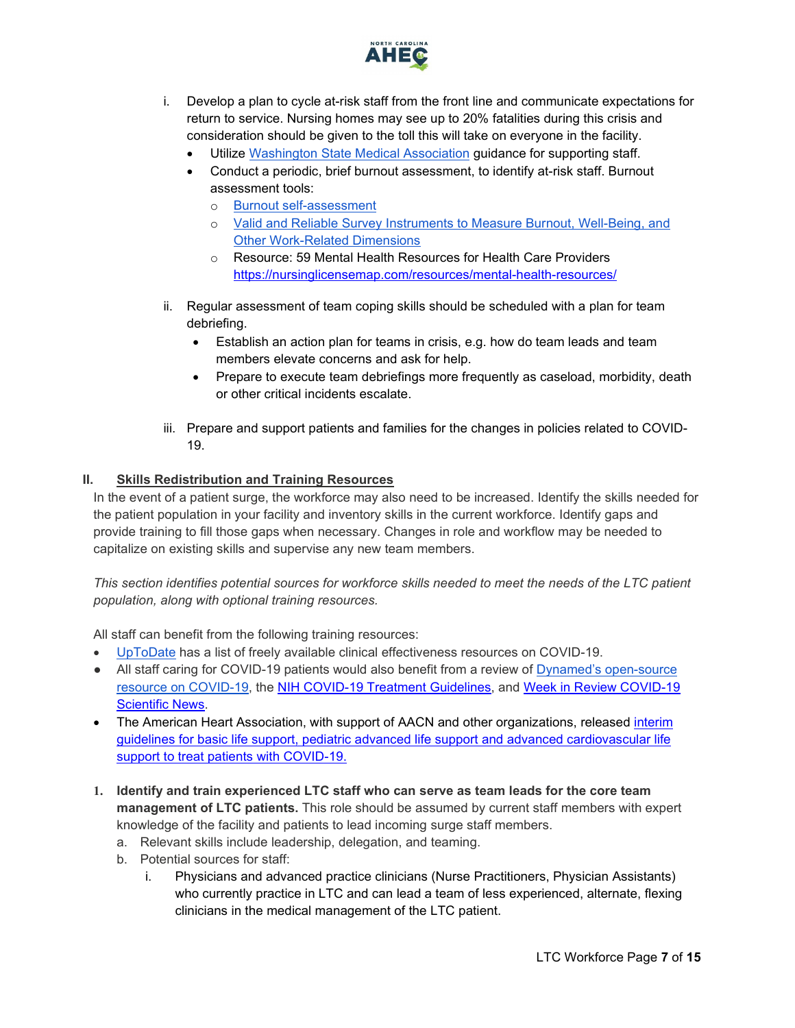

- i. Develop a plan to cycle at-risk staff from the front line and communicate expectations for return to service. Nursing homes may see up to 20% fatalities during this crisis and consideration should be given to the toll this will take on everyone in the facility.
	- Utilize [Washington State Medical Association](https://wsma.org/WSMA/Resources/COVID-19/Care_for_the_Caregiver_During_COVID-19_Outbreak/care_for_the_caregiver_during_covid_19_outbreak.aspx) guidance for supporting staff.
	- Conduct a periodic, brief burnout assessment, to identify at-risk staff. Burnout assessment tools:
		- o [Burnout self-assessment](https://wellmd.stanford.edu/test-yourself.html)
		- o [Valid and Reliable Survey Instruments to Measure Burnout, Well-Being, and](https://nam.edu/valid-reliable-survey-instruments-measure-burnout-well-work-related-dimensions/)  [Other Work-Related Dimensions](https://nam.edu/valid-reliable-survey-instruments-measure-burnout-well-work-related-dimensions/)
		- o Resource: 59 Mental Health Resources for Health Care Providers <https://nursinglicensemap.com/resources/mental-health-resources/>
- ii. Regular assessment of team coping skills should be scheduled with a plan for team debriefing.
	- Establish an action plan for teams in crisis, e.g. how do team leads and team members elevate concerns and ask for help.
	- Prepare to execute team debriefings more frequently as caseload, morbidity, death or other critical incidents escalate.
- iii. Prepare and support patients and families for the changes in policies related to COVID-19.

### <span id="page-6-0"></span>**II. Skills Redistribution and Training Resources**

In the event of a patient surge, the workforce may also need to be increased. Identify the skills needed for the patient population in your facility and inventory skills in the current workforce. Identify gaps and provide training to fill those gaps when necessary. Changes in role and workflow may be needed to capitalize on existing skills and supervise any new team members.

*This section identifies potential sources for workforce skills needed to meet the needs of the LTC patient population, along with optional training resources.* 

All staff can benefit from the following training resources:

- [UpToDate](https://www.uptodate.com/home/covid-19-access) has a list of freely available clinical effectiveness resources on COVID-19.
- All staff caring for COVID-19 patients would also benefit from a review of Dynamed's open-source [resource on COVID-19,](https://www.dynamed.com/condition/covid-19-novel-coronavirus#GUID-5EDD59BC-2C0D-412E-8DAB-3F3D214D7406) the [NIH COVID-19 Treatment Guidelines,](https://covid19treatmentguidelines.nih.gov/) and [Week in Review COVID-19](https://www.ncahec.net/covid-19/training-and-literature-for-health-care-professionals/)  [Scientific News.](https://www.ncahec.net/covid-19/training-and-literature-for-health-care-professionals/)
- The American Heart Association, with support of AACN and other organizations, released interim [guidelines for basic life support, pediatric advanced life support and advanced cardiovascular life](https://www.ahajournals.org/doi/10.1161/CIRCULATIONAHA.120.047463)  [support to treat patients with COVID-19.](https://www.ahajournals.org/doi/10.1161/CIRCULATIONAHA.120.047463)
- <span id="page-6-1"></span>**1. Identify and train experienced LTC staff who can serve as team leads for the core team management of LTC patients.** This role should be assumed by current staff members with expert knowledge of the facility and patients to lead incoming surge staff members.
	- a. Relevant skills include leadership, delegation, and teaming.
	- b. Potential sources for staff:
		- i. Physicians and advanced practice clinicians (Nurse Practitioners, Physician Assistants) who currently practice in LTC and can lead a team of less experienced, alternate, flexing clinicians in the medical management of the LTC patient.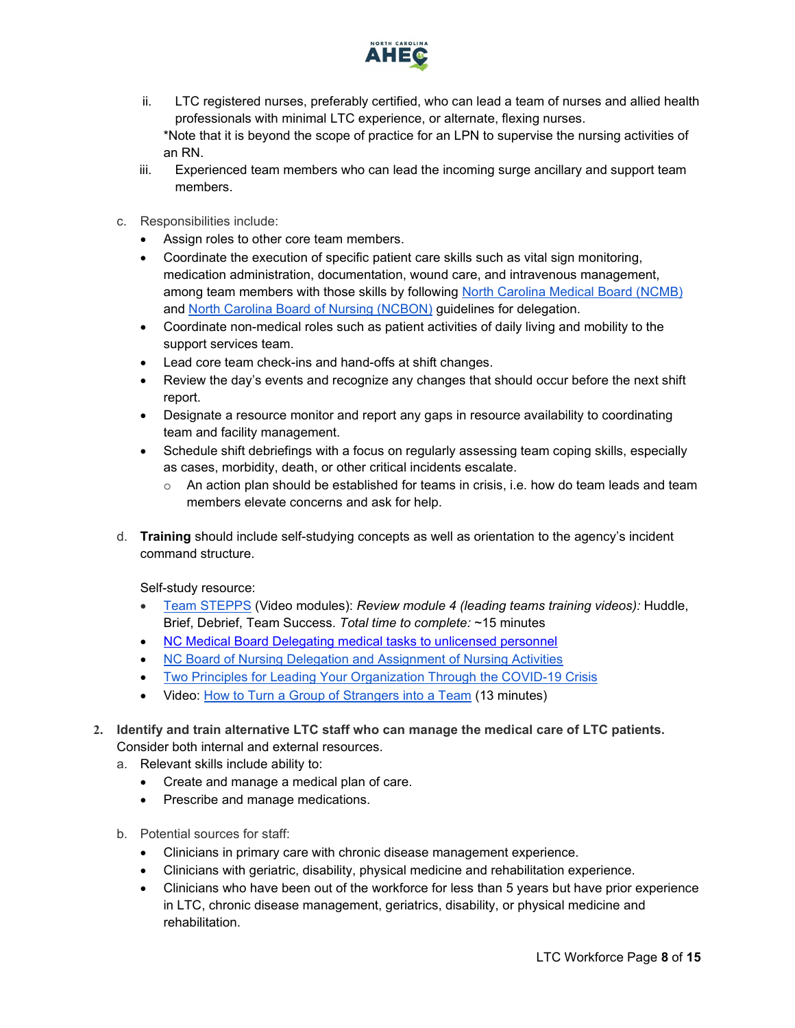

- ii. LTC registered nurses, preferably certified, who can lead a team of nurses and allied health professionals with minimal LTC experience, or alternate, flexing nurses. \*Note that it is beyond the scope of practice for an LPN to supervise the nursing activities of an RN.
- iii. Experienced team members who can lead the incoming surge ancillary and support team members.
- c. Responsibilities include:
	- Assign roles to other core team members.
	- Coordinate the execution of specific patient care skills such as vital sign monitoring, medication administration, documentation, wound care, and intravenous management, among team members with those skills by following [North Carolina Medical Board](https://www.ncmedboard.org/resources-information/professional-resources/publications/forum-newsletter/article/delegating-medical-tasks-to-unlicensed-personnel) (NCMB) and [North Carolina Board of Nu](https://www.ncbon.com/vdownloads/position-statements-decision-trees/decision-tree-delegation-to-uap.pdf)rsing (NCBON) guidelines for delegation.
	- Coordinate non-medical roles such as patient activities of daily living and mobility to the support services team.
	- Lead core team check-ins and hand-offs at shift changes.
	- Review the day's events and recognize any changes that should occur before the next shift report.
	- Designate a resource monitor and report any gaps in resource availability to coordinating team and facility management.
	- Schedule shift debriefings with a focus on regularly assessing team coping skills, especially as cases, morbidity, death, or other critical incidents escalate.
		- $\circ$  An action plan should be established for teams in crisis, i.e. how do team leads and team members elevate concerns and ask for help.
- d. **Training** should include self-studying concepts as well as orientation to the agency's incident command structure.

Self-study resource:

- [Team STEPPS](https://www.ahrq.gov/teamstepps/longtermcare/index.html) (Video modules): *Review module 4 (leading teams training videos):* Huddle, Brief, Debrief, Team Success. *Total time to complete:* ~15 minutes
- [NC Medical Board Delegating medical tasks to unlicensed personnel](https://www.ncmedboard.org/resources-information/professional-resources/publications/forum-newsletter/article/delegating-medical-tasks-to-unlicensed-personnel)
- [NC Board of Nursing Delegation and Assignment of Nursing Activities](https://www.ncbon.com/vdownloads/position-statements-decision-trees/delegation-and-assignment-of-nursing-activities.pdf)
- [Two Principles for Leading Your Organization Through the COVID-19 Crisis](https://insight.kellogg.northwestern.edu/article/two-principles-leading-organization-covid-19-crisis)
- Video: [How to Turn a Group of Strangers into a Team](https://www.ted.com/talks/amy_edmondson_how_to_turn_a_group_of_strangers_into_a_team) (13 minutes)
- <span id="page-7-0"></span>**2. Identify and train alternative LTC staff who can manage the medical care of LTC patients.** Consider both internal and external resources.
	- a. Relevant skills include ability to:
		- Create and manage a medical plan of care.
		- Prescribe and manage medications.
	- b. Potential sources for staff:
		- Clinicians in primary care with chronic disease management experience.
		- Clinicians with geriatric, disability, physical medicine and rehabilitation experience.
		- Clinicians who have been out of the workforce for less than 5 years but have prior experience in LTC, chronic disease management, geriatrics, disability, or physical medicine and rehabilitation.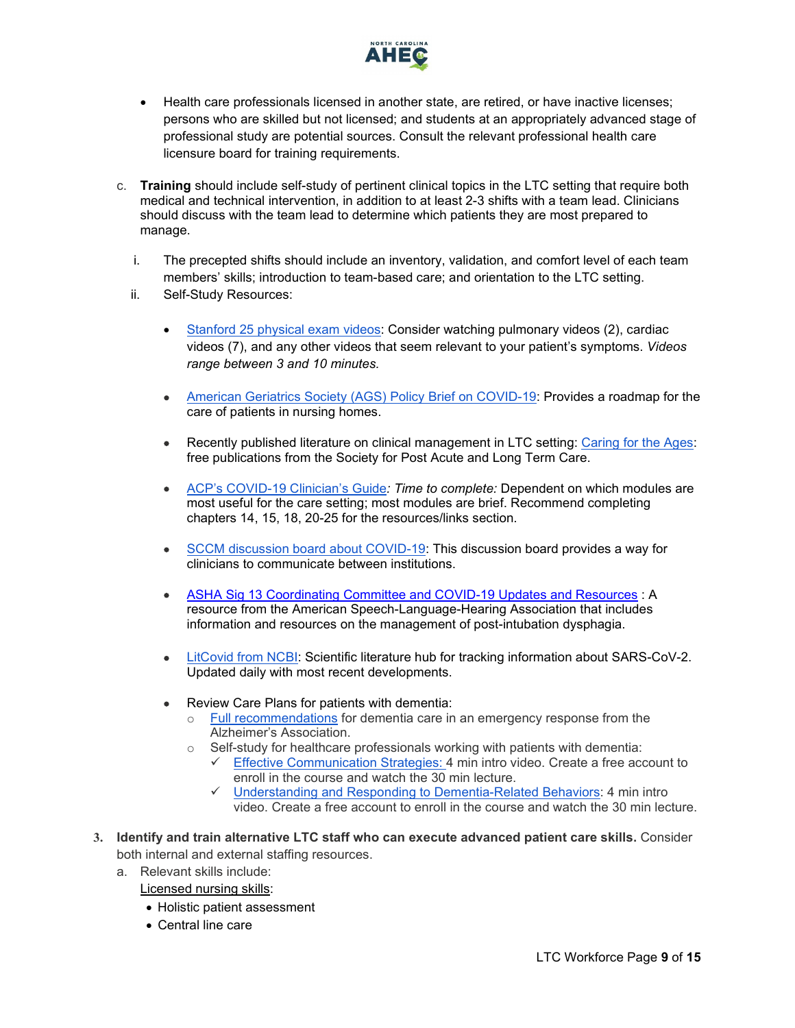

- Health care professionals licensed in another state, are retired, or have inactive licenses; persons who are skilled but not licensed; and students at an appropriately advanced stage of professional study are potential sources. Consult the relevant professional health care licensure board for training requirements.
- c. **Training** should include self-study of pertinent clinical topics in the LTC setting that require both medical and technical intervention, in addition to at least 2-3 shifts with a team lead. Clinicians should discuss with the team lead to determine which patients they are most prepared to manage.
	- i. The precepted shifts should include an inventory, validation, and comfort level of each team members' skills; introduction to team-based care; and orientation to the LTC setting.
	- ii. Self-Study Resources:
		- [Stanford 25 physical exam videos:](https://stanfordmedicine25.stanford.edu/videos.html) Consider watching pulmonary videos (2), cardiac videos (7), and any other videos that seem relevant to your patient's symptoms. *Videos range between 3 and 10 minutes.*
		- [American Geriatrics Society \(AGS\) Policy Brief on COVID-19:](https://onlinelibrary.wiley.com/doi/epdf/10.1111/jgs.16477) Provides a roadmap for the care of patients in nursing homes.
		- Recently published literature on clinical management in LTC setting: [Caring for the Ages:](https://www.caringfortheages.com/clinicalmanagement) free publications from the Society for Post Acute and Long Term Care.
		- [ACP's COVID-19 Clinician's Guide](https://assets.acponline.org/coronavirus/scormcontent/?&_ga=2.5648691.1012314021.1585845467-1073402165.1585845467#/)*: Time to complete:* Dependent on which modules are most useful for the care setting; most modules are brief. Recommend completing chapters 14, 15, 18, 20-25 for the resources/links section.
		- [SCCM discussion board about COVID-19:](https://community.sccm.org/) This discussion board provides a way for clinicians to communicate between institutions.
		- [ASHA Sig 13 Coordinating Committee and COVID-19 Updates and Resources](https://drive.google.com/file/d/1nDdQ9fJW9WHdXoN-JSSTH_YQwogJsVZO/view?fbclid=IwAR02yBsRWgRyY7-cD_UmZ-el8aec4kxPcxmpN37rQuZ2UwY1BaXGF4D1rBs) : A resource from the American Speech-Language-Hearing Association that includes information and resources on the management of post-intubation dysphagia.
		- [LitCovid from NCBI:](https://www.ncbi.nlm.nih.gov/research/coronavirus/) Scientific literature hub for tracking information about SARS-CoV-2. Updated daily with most recent developments.
		- Review Care Plans for patients with dementia:
			- o [Full recommendations](https://www.alz.org/media/Documents/COVID-19-EmergencyTips_LongTermCommunityBasedDementiaCare_AlzheimersAssociation.pdf) for dementia care in an emergency response from the Alzheimer's Association.
			- $\circ$  Self-study for healthcare professionals working with patients with dementia:
				- $\checkmark$  [Effective Communication Strategies: 4](https://training.alz.org/products/4036/effective-communication-strategies?_ga=2.228314143.340483659.1586794344-406753158.1586794344) min intro video. Create a free account to enroll in the course and watch the 30 min lecture.
				- [Understanding and Responding to Dementia-Related Behaviors:](https://training.alz.org/products/4037/understanding-and-responding-to-dementia-related-behavior?_ga=2.229672990.340483659.1586794344-406753158.1586794344) 4 min intro video. Create a free account to enroll in the course and watch the 30 min lecture.
- <span id="page-8-0"></span>**3. Identify and train alternative LTC staff who can execute advanced patient care skills.** Consider both internal and external staffing resources.
	- a. Relevant skills include:
		- Licensed nursing skills:
		- Holistic patient assessment
		- Central line care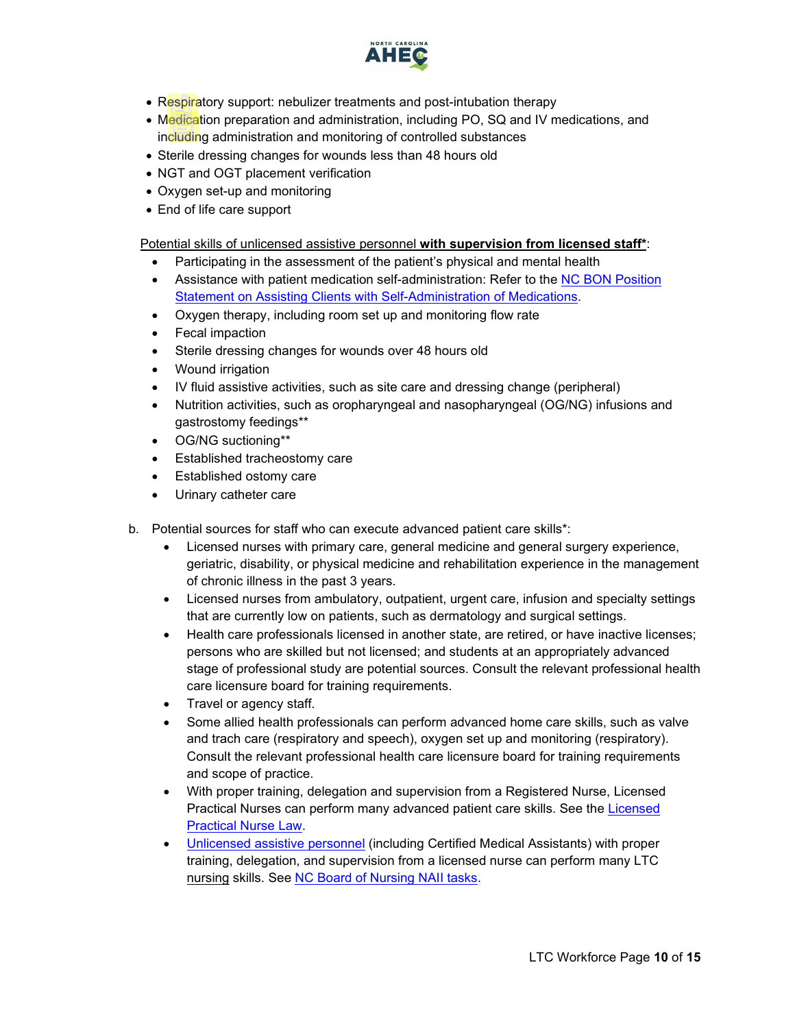

- Respiratory support: nebulizer treatments and post-intubation therapy
- Medication preparation and administration, including PO, SQ and IV medications, and including administration and monitoring of controlled substances
- Sterile dressing changes for wounds less than 48 hours old
- NGT and OGT placement verification
- Oxygen set-up and monitoring
- End of life care support

Potential skills of unlicensed assistive personnel **with supervision from licensed staff\***:

- Participating in the assessment of the patient's physical and mental health
- Assistance with patient medication self-administration: Refer to the NC BON Position [Statement on Assisting Clients with Self-Administration of Medications.](https://www.ncbon.com/vdownloads/position-statements-decision-trees/assisting-clients-with-self-admin-of-med.pdf)
- Oxygen therapy, including room set up and monitoring flow rate
- Fecal impaction
- Sterile dressing changes for wounds over 48 hours old
- Wound irrigation
- IV fluid assistive activities, such as site care and dressing change (peripheral)
- Nutrition activities, such as oropharyngeal and nasopharyngeal (OG/NG) infusions and gastrostomy feedings\*\*
- OG/NG suctioning\*\*
- **Established tracheostomy care**
- Established ostomy care
- Urinary catheter care
- b. Potential sources for staff who can execute advanced patient care skills\*:
	- Licensed nurses with primary care, general medicine and general surgery experience, geriatric, disability, or physical medicine and rehabilitation experience in the management of chronic illness in the past 3 years.
	- Licensed nurses from ambulatory, outpatient, urgent care, infusion and specialty settings that are currently low on patients, such as dermatology and surgical settings.
	- Health care professionals licensed in another state, are retired, or have inactive licenses; persons who are skilled but not licensed; and students at an appropriately advanced stage of professional study are potential sources. Consult the relevant professional health care licensure board for training requirements.
	- Travel or agency staff.
	- Some allied health professionals can perform advanced home care skills, such as valve and trach care (respiratory and speech), oxygen set up and monitoring (respiratory). Consult the relevant professional health care licensure board for training requirements and scope of practice.
	- With proper training, delegation and supervision from a Registered Nurse, Licensed Practical Nurses can perform many advanced patient care skills. See the [Licensed](https://www4.ncleg.net/enactedlegislation/statutes/html/bysection/chapter_90/gs_90-171.20.html) [Practical Nurse Law.](https://www4.ncleg.net/enactedlegislation/statutes/html/bysection/chapter_90/gs_90-171.20.html)
	- [Unlicensed assistive personnel](https://www.ncbon.com/practice-nurse-aides-information-rules) (including Certified Medical Assistants) with proper training, delegation, and supervision from a licensed nurse can perform many LTC nursing skills. See [NC Board of Nursing NAII tasks.](https://www.ncbon.com/practice-nurse-aides-nurse-aide-ii-tasks)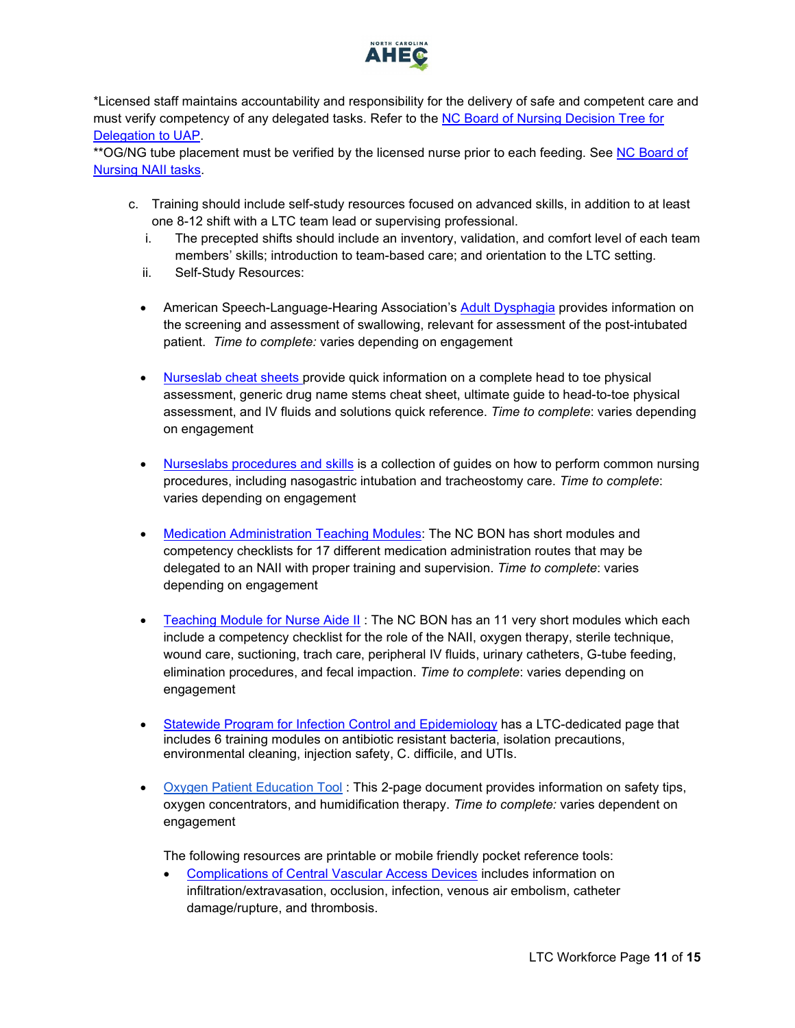

\*Licensed staff maintains accountability and responsibility for the delivery of safe and competent care and must verify competency of any delegated tasks. Refer to the [NC Board of Nursing Decision Tree for](https://www.ncbon.com/vdownloads/position-statements-decision-trees/decision-tree-delegation-to-uap.pdf)  [Delegation to UAP.](https://www.ncbon.com/vdownloads/position-statements-decision-trees/decision-tree-delegation-to-uap.pdf)

\*\* OG/NG tube placement must be verified by the licensed nurse prior to each feeding. See NC Board of [Nursing NAII tasks.](https://www.ncbon.com/practice-nurse-aides-nurse-aide-ii-tasks)

- c. Training should include self-study resources focused on advanced skills, in addition to at least one 8-12 shift with a LTC team lead or supervising professional.
	- i. The precepted shifts should include an inventory, validation, and comfort level of each team members' skills; introduction to team-based care; and orientation to the LTC setting.
	- ii. Self-Study Resources:
	- American Speech-Language-Hearing Association's [Adult Dysphagia](https://www.asha.org/PRPSpecificTopic.aspx?folderid=8589942550§ion=Assessment) provides information on the screening and assessment of swallowing, relevant for assessment of the post-intubated patient. *Time to complete:* varies depending on engagement
	- [Nurseslab cheat sheets p](https://nurseslabs.com/tag/cheat-sheets/)rovide quick information on a complete head to toe physical assessment, generic drug name stems cheat sheet, ultimate guide to head-to-toe physical assessment, and IV fluids and solutions quick reference. *Time to complete*: varies depending on engagement
	- [Nurseslabs procedures and skills](https://nurseslabs.com/category/nursing-notes/fundamentals-of-nursing/nursing-procedures/) is a collection of guides on how to perform common nursing procedures, including nasogastric intubation and tracheostomy care. *Time to complete*: varies depending on engagement
	- [Medication Administration Teaching Modules:](https://www.ncbon.com/education-unlicensed-assistive-personnel-medication-administration-teaching-modules) The NC BON has short modules and competency checklists for 17 different medication administration routes that may be delegated to an NAII with proper training and supervision. *Time to complete*: varies depending on engagement
	- [Teaching Module for Nurse Aide II](https://www.ncbon.com/education-unlicensed-assistive-personnel-teaching-modules-for-nurse-aide-ii-tasks): The NC BON has an 11 very short modules which each include a competency checklist for the role of the NAII, oxygen therapy, sterile technique, wound care, suctioning, trach care, peripheral IV fluids, urinary catheters, G-tube feeding, elimination procedures, and fecal impaction. *Time to complete*: varies depending on engagement
	- [Statewide Program for Infection Control and Epidemiology](https://spice.unc.edu/ltc/) has a LTC-dedicated page that includes 6 training modules on antibiotic resistant bacteria, isolation precautions, environmental cleaning, injection safety, C. difficile, and UTIs.
	- [Oxygen Patient Education Tool](https://cmetoolkit.com/wp-content/uploads/What-You-Should-Know-About-Home-Oxygen-Therapy.pdf) : This 2-page document provides information on safety tips, oxygen concentrators, and humidification therapy. *Time to complete:* varies dependent on engagement

The following resources are printable or mobile friendly pocket reference tools:

• [Complications of Central Vascular Access Devices](https://www.nursingcenter.com/clinical-resources/nursing-pocket-cards/complications-of-central-vascular-access-devices) includes information on infiltration/extravasation, occlusion, infection, venous air embolism, catheter damage/rupture, and thrombosis.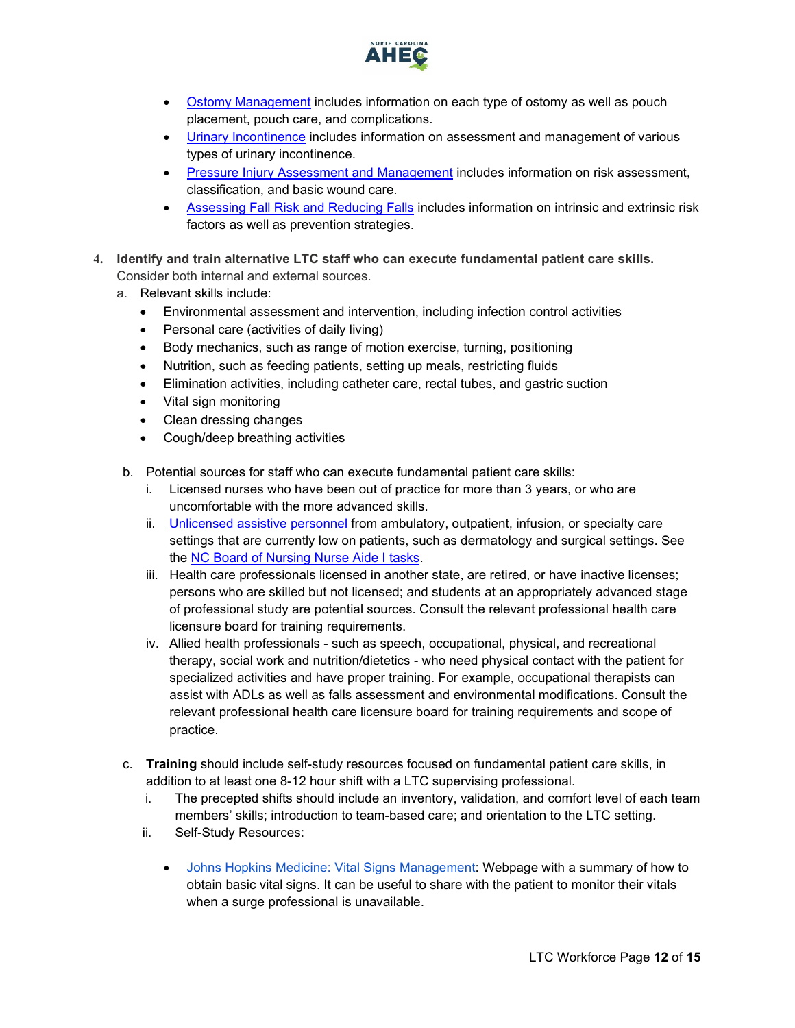

- [Ostomy Management](https://www.nursingcenter.com/clinical-resources/nursing-pocket-cards/ostomy-management) includes information on each type of ostomy as well as pouch placement, pouch care, and complications.
- [Urinary Incontinence](https://www.nursingcenter.com/clinical-resources/nursing-pocket-cards/urinary-incontinence) includes information on assessment and management of various types of urinary incontinence.
- [Pressure Injury Assessment and Management](https://www.nursingcenter.com/clinical-resources/nursing-pocket-cards/pressure-injury-assessment-and-management) includes information on risk assessment, classification, and basic wound care.
- [Assessing Fall Risk and Reducing Falls](https://www.nursingcenter.com/clinical-resources/nursing-pocket-cards/assessing-fall-risk-and-reducing-falls) includes information on intrinsic and extrinsic risk factors as well as prevention strategies.
- <span id="page-11-0"></span>**4. Identify and train alternative LTC staff who can execute fundamental patient care skills.**  Consider both internal and external sources.
	- a. Relevant skills include:
		- Environmental assessment and intervention, including infection control activities
		- Personal care (activities of daily living)
		- Body mechanics, such as range of motion exercise, turning, positioning
		- Nutrition, such as feeding patients, setting up meals, restricting fluids
		- Elimination activities, including catheter care, rectal tubes, and gastric suction
		- Vital sign monitoring
		- Clean dressing changes
		- Cough/deep breathing activities
	- b. Potential sources for staff who can execute fundamental patient care skills:
		- i. Licensed nurses who have been out of practice for more than 3 years, or who are uncomfortable with the more advanced skills.
		- ii. [Unlicensed assistive personnel](https://www.ncbon.com/practice-nurse-aides-information-rules) from ambulatory, outpatient, infusion, or specialty care settings that are currently low on patients, such as dermatology and surgical settings. See the [NC Board of Nursing Nurse Aide I tasks.](https://www.ncbon.com/practice-nurse-aides-nurse-aide-i-tasks)
		- iii. Health care professionals licensed in another state, are retired, or have inactive licenses; persons who are skilled but not licensed; and students at an appropriately advanced stage of professional study are potential sources. Consult the relevant professional health care licensure board for training requirements.
		- iv. Allied health professionals such as speech, occupational, physical, and recreational therapy, social work and nutrition/dietetics - who need physical contact with the patient for specialized activities and have proper training. For example, occupational therapists can assist with ADLs as well as falls assessment and environmental modifications. Consult the relevant professional health care licensure board for training requirements and scope of practice.
	- c. **Training** should include self-study resources focused on fundamental patient care skills, in addition to at least one 8-12 hour shift with a LTC supervising professional.
		- i. The precepted shifts should include an inventory, validation, and comfort level of each team members' skills; introduction to team-based care; and orientation to the LTC setting.
		- ii. Self-Study Resources:
			- [Johns Hopkins Medicine: Vital Signs Management:](https://www.hopkinsmedicine.org/health/conditions-and-diseases/vital-signs-body-temperature-pulse-rate-respiration-rate-blood-pressure) Webpage with a summary of how to obtain basic vital signs. It can be useful to share with the patient to monitor their vitals when a surge professional is unavailable.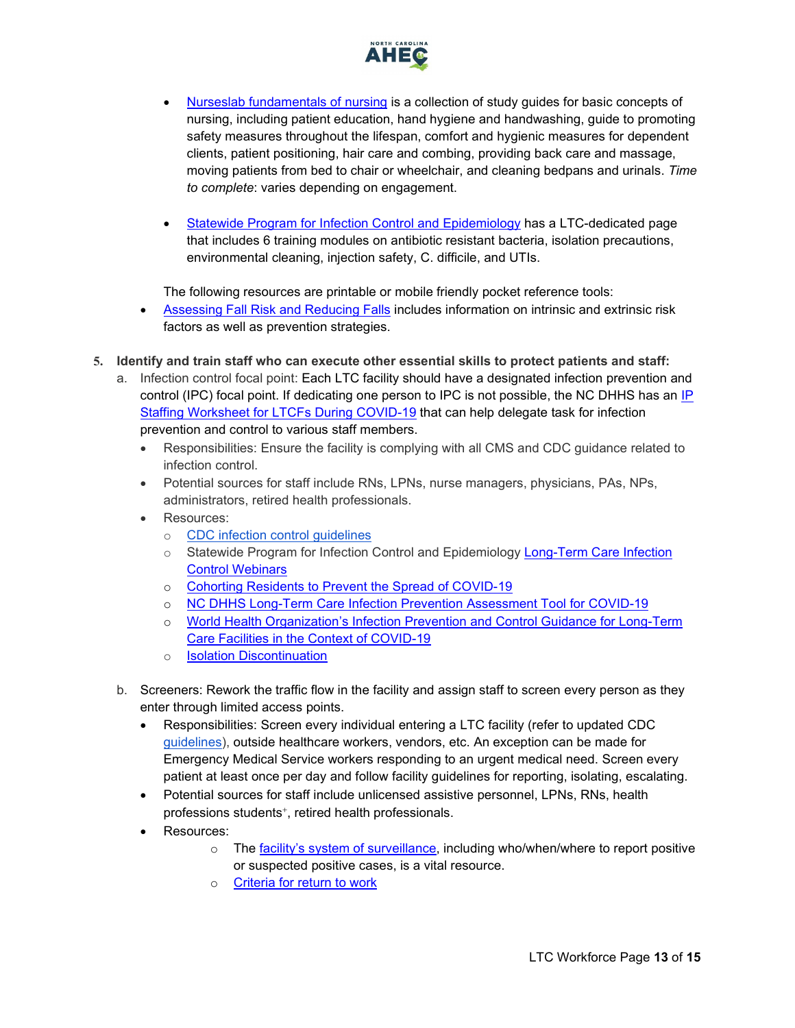

- [Nurseslab fundamentals of nursing](https://nurseslabs.com/category/nursing-notes/fundamentals-of-nursing/) is a collection of study guides for basic concepts of nursing, including patient education, hand hygiene and handwashing, guide to promoting safety measures throughout the lifespan, comfort and hygienic measures for dependent clients, patient positioning, hair care and combing, providing back care and massage, moving patients from bed to chair or wheelchair, and cleaning bedpans and urinals. *Time to complete*: varies depending on engagement.
- [Statewide Program for Infection Control and Epidemiology](https://spice.unc.edu/ltc/) has a LTC-dedicated page that includes 6 training modules on antibiotic resistant bacteria, isolation precautions, environmental cleaning, injection safety, C. difficile, and UTIs.

The following resources are printable or mobile friendly pocket reference tools:

- [Assessing Fall Risk and Reducing Falls](https://www.nursingcenter.com/clinical-resources/nursing-pocket-cards/assessing-fall-risk-and-reducing-falls) includes information on intrinsic and extrinsic risk factors as well as prevention strategies.
- <span id="page-12-0"></span>**5. Identify and train staff who can execute other essential skills to protect patients and staff:**
	- a. Infection control focal point: Each LTC facility should have a designated infection prevention and control (IPC) focal point. If dedicating one person to IPC is not possible, the NC DHHS has an IP [Staffing Worksheet for LTCFs During COVID-19](https://files.nc.gov/ncdhhs/documents/files/covid-19/Long-Term-Care-Infection-Prevention-Education-Staffing-Worksheet.pdf) that can help delegate task for infection prevention and control to various staff members.
		- Responsibilities: Ensure the facility is complying with all CMS and CDC guidance related to infection control.
		- Potential sources for staff include RNs, LPNs, nurse managers, physicians, PAs, NPs, administrators, retired health professionals.
		- Resources:
			- o [CDC infection control guidelines](https://www.cdc.gov/coronavirus/2019-ncov/prevent-getting-sick/prevention.html)
			- o Statewide Program for Infection Control and Epidemiology [Long-Term Care Infection](https://spice.unc.edu/webinars/)  [Control Webinars](https://spice.unc.edu/webinars/)
			- o [Cohorting Residents to Prevent the Spread of COVID-19](https://www.ahcancal.org/facility_operations/disaster_planning/Documents/Cohorting.pdf)
			- o [NC DHHS Long-Term Care Infection Prevention Assessment Tool for COVID-19](https://files.nc.gov/ncdhhs/documents/files/covid-19/Long-Term-Care-Infection-Control-Assessment-Tool.pdf)
			- o [World Health Organization's Infection Prevention and Control Guidance for Long-Term](https://apps.who.int/iris/bitstream/handle/10665/331508/WHO-2019-nCoV-IPC_long_term_care-2020.1-eng.pdf)  [Care Facilities in the Context of COVID-19](https://apps.who.int/iris/bitstream/handle/10665/331508/WHO-2019-nCoV-IPC_long_term_care-2020.1-eng.pdf)
			- o [Isolation Discontinuation](https://www.cdc.gov/coronavirus/2019-ncov/hcp/disposition-hospitalized-patients.html)
	- b. Screeners: Rework the traffic flow in the facility and assign staff to screen every person as they enter through limited access points.
		- Responsibilities: Screen every individual entering a LTC facility (refer to updated CDC [guidelines\)](https://www.cdc.gov/coronavirus/2019-ncov/hcp/long-term-care.html#facilities-should-do), outside healthcare workers, vendors, etc. An exception can be made for Emergency Medical Service workers responding to an urgent medical need. Screen every patient at least once per day and follow facility guidelines for reporting, isolating, escalating.
		- Potential sources for staff include unlicensed assistive personnel, LPNs, RNs, health professions students<sup>+</sup>, retired health professionals.
		- Resources:
			- o The [facility's system of surveillance,](#page-1-1) including who/when/where to report positive or suspected positive cases, is a vital resource.
			- o [Criteria for return to work](https://www.cdc.gov/coronavirus/2019-ncov/hcp/return-to-work.html)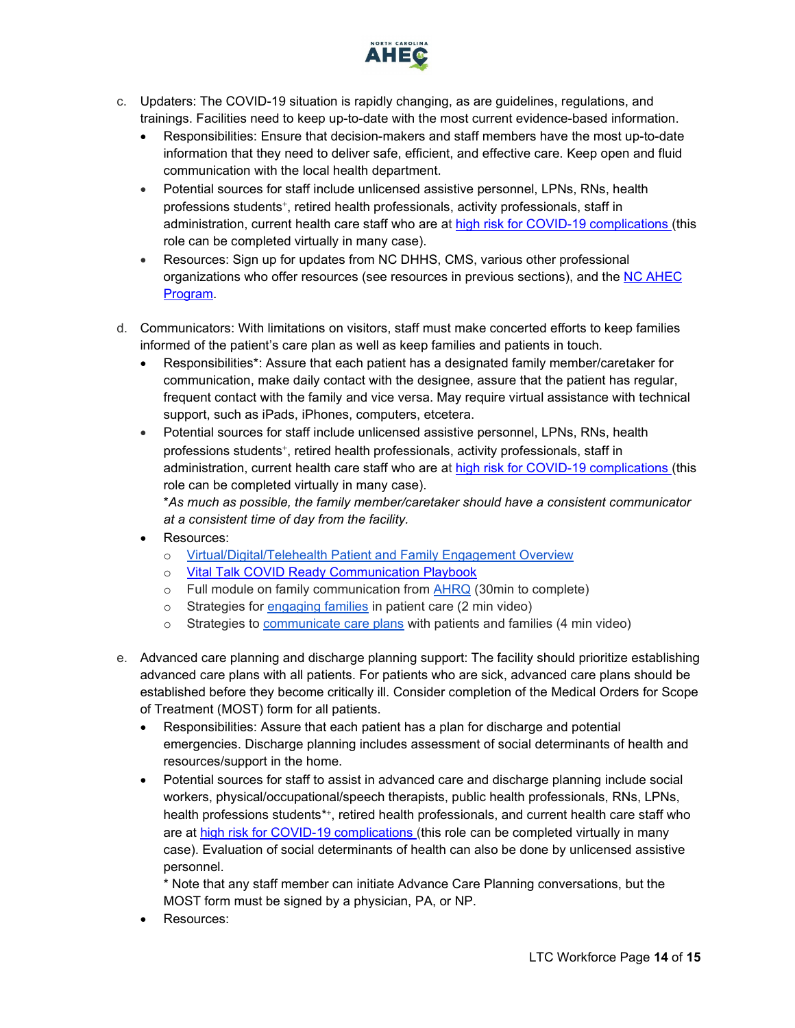

- c. Updaters: The COVID-19 situation is rapidly changing, as are guidelines, regulations, and trainings. Facilities need to keep up-to-date with the most current evidence-based information.
	- Responsibilities: Ensure that decision-makers and staff members have the most up-to-date information that they need to deliver safe, efficient, and effective care. Keep open and fluid communication with the local health department.
	- Potential sources for staff include unlicensed assistive personnel, LPNs, RNs, health professions students<sup>+</sup>, retired health professionals, activity professionals, staff in administration, current health care staff who are at [high risk for COVID-19 complications \(](https://www.cdc.gov/coronavirus/2019-ncov/need-extra-precautions/people-at-higher-risk.html)this role can be completed virtually in many case).
	- Resources: Sign up for updates from NC DHHS, CMS, various other professional organizations who offer resources (see resources in previous sections), and the NC AHEC [Program.](https://www.ncahec.net/covid-19/webinars/)
- d. Communicators: With limitations on visitors, staff must make concerted efforts to keep families informed of the patient's care plan as well as keep families and patients in touch.
	- Responsibilities\*: Assure that each patient has a designated family member/caretaker for communication, make daily contact with the designee, assure that the patient has regular, frequent contact with the family and vice versa. May require virtual assistance with technical support, such as iPads, iPhones, computers, etcetera.
	- Potential sources for staff include unlicensed assistive personnel, LPNs, RNs, health professions students<sup>+</sup>, retired health professionals, activity professionals, staff in administration, current health care staff who are at [high risk for COVID-19 complications \(](https://www.cdc.gov/coronavirus/2019-ncov/need-extra-precautions/people-at-higher-risk.html)this role can be completed virtually in many case). \**As much as possible, the family member/caretaker should have a consistent communicator*

*at a consistent time of day from the facility.* 

- Resources:
	- o [Virtual/Digital/Telehealth Patient and Family Engagement Overview](https://www.healthit.gov/sites/default/files/playbook/pdf/nlc-secure-messaging-fact-sheet.pdf)
	- o Vital Talk COVID Ready Communication Playbook
	- $\circ$  Full module on family communication from  $AHRQ$  (30min to complete)
	- o Strategies for [engaging](https://www.youtube.com/watch?v=U3gyL_p7FyA&feature=youtu.be) families in patient care (2 min video)
	- o Strategies to **communicate care plans** with patients and families (4 min video)
- <span id="page-13-0"></span>e. Advanced care planning and discharge planning support: The facility should prioritize establishing advanced care plans with all patients. For patients who are sick, advanced care plans should be established before they become critically ill. Consider completion of the Medical Orders for Scope of Treatment (MOST) form for all patients.
	- Responsibilities: Assure that each patient has a plan for discharge and potential emergencies. Discharge planning includes assessment of social determinants of health and resources/support in the home.
	- Potential sources for staff to assist in advanced care and discharge planning include social workers, physical/occupational/speech therapists, public health professionals, RNs, LPNs, health professions students\*\*, retired health professionals, and current health care staff who are at [high risk for COVID-19 complications \(](https://www.cdc.gov/coronavirus/2019-ncov/need-extra-precautions/people-at-higher-risk.html)this role can be completed virtually in many case). Evaluation of social determinants of health can also be done by unlicensed assistive personnel.

\* Note that any staff member can initiate Advance Care Planning conversations, but the MOST form must be signed by a physician, PA, or NP.

Resources: